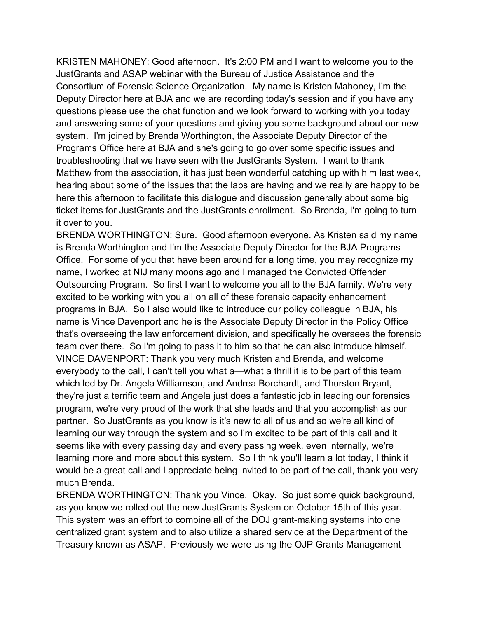KRISTEN MAHONEY: Good afternoon. It's 2:00 PM and I want to welcome you to the and answering some of your questions and giving you some background about our new Matthew from the association, it has just been wonderful catching up with him last week, JustGrants and ASAP webinar with the Bureau of Justice Assistance and the Consortium of Forensic Science Organization. My name is Kristen Mahoney, I'm the Deputy Director here at BJA and we are recording today's session and if you have any questions please use the chat function and we look forward to working with you today system. I'm joined by Brenda Worthington, the Associate Deputy Director of the Programs Office here at BJA and she's going to go over some specific issues and troubleshooting that we have seen with the JustGrants System. I want to thank hearing about some of the issues that the labs are having and we really are happy to be here this afternoon to facilitate this dialogue and discussion generally about some big ticket items for JustGrants and the JustGrants enrollment. So Brenda, I'm going to turn it over to you.

 BRENDA WORTHINGTON: Sure. Good afternoon everyone. As Kristen said my name excited to be working with you all on all of these forensic capacity enhancement programs in BJA. So I also would like to introduce our policy colleague in BJA, his team over there. So I'm going to pass it to him so that he can also introduce himself. everybody to the call, I can't tell you what a—what a thrill it is to be part of this team they're just a terrific team and Angela just does a fantastic job in leading our forensics program, we're very proud of the work that she leads and that you accomplish as our is Brenda Worthington and I'm the Associate Deputy Director for the BJA Programs Office. For some of you that have been around for a long time, you may recognize my name, I worked at NIJ many moons ago and I managed the Convicted Offender Outsourcing Program. So first I want to welcome you all to the BJA family. We're very name is Vince Davenport and he is the Associate Deputy Director in the Policy Office that's overseeing the law enforcement division, and specifically he oversees the forensic VINCE DAVENPORT: Thank you very much Kristen and Brenda, and welcome which led by Dr. Angela Williamson, and Andrea Borchardt, and Thurston Bryant, partner. So JustGrants as you know is it's new to all of us and so we're all kind of learning our way through the system and so I'm excited to be part of this call and it seems like with every passing day and every passing week, even internally, we're learning more and more about this system. So I think you'll learn a lot today, I think it would be a great call and I appreciate being invited to be part of the call, thank you very much Brenda.

 centralized grant system and to also utilize a shared service at the Department of the Treasury known as ASAP. Previously we were using the OJP Grants Management BRENDA WORTHINGTON: Thank you Vince. Okay. So just some quick background, as you know we rolled out the new JustGrants System on October 15th of this year. This system was an effort to combine all of the DOJ grant-making systems into one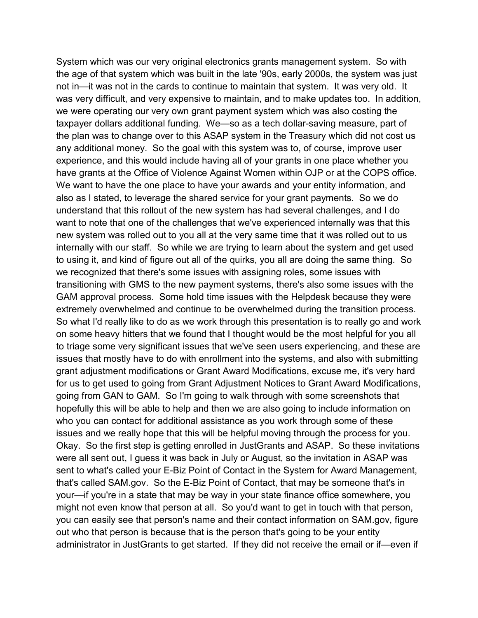was very difficult, and very expensive to maintain, and to make updates too. In addition, taxpayer dollars additional funding. We—so as a tech dollar-saving measure, part of any additional money. So the goal with this system was to, of course, improve user want to note that one of the challenges that we've experienced internally was that this to using it, and kind of figure out all of the quirks, you all are doing the same thing. So extremely overwhelmed and continue to be overwhelmed during the transition process. on some heavy hitters that we found that I thought would be the most helpful for you all issues and we really hope that this will be helpful moving through the process for you. Okay. So the first step is getting enrolled in JustGrants and ASAP. So these invitations might not even know that person at all. So you'd want to get in touch with that person, out who that person is because that is the person that's going to be your entity System which was our very original electronics grants management system. So with the age of that system which was built in the late '90s, early 2000s, the system was just not in—it was not in the cards to continue to maintain that system. It was very old. It we were operating our very own grant payment system which was also costing the the plan was to change over to this ASAP system in the Treasury which did not cost us experience, and this would include having all of your grants in one place whether you have grants at the Office of Violence Against Women within OJP or at the COPS office. We want to have the one place to have your awards and your entity information, and also as I stated, to leverage the shared service for your grant payments. So we do understand that this rollout of the new system has had several challenges, and I do new system was rolled out to you all at the very same time that it was rolled out to us internally with our staff. So while we are trying to learn about the system and get used we recognized that there's some issues with assigning roles, some issues with transitioning with GMS to the new payment systems, there's also some issues with the GAM approval process. Some hold time issues with the Helpdesk because they were So what I'd really like to do as we work through this presentation is to really go and work to triage some very significant issues that we've seen users experiencing, and these are issues that mostly have to do with enrollment into the systems, and also with submitting grant adjustment modifications or Grant Award Modifications, excuse me, it's very hard for us to get used to going from Grant Adjustment Notices to Grant Award Modifications, going from GAN to GAM. So I'm going to walk through with some screenshots that hopefully this will be able to help and then we are also going to include information on who you can contact for additional assistance as you work through some of these were all sent out, I guess it was back in July or August, so the invitation in ASAP was sent to what's called your E-Biz Point of Contact in the System for Award Management, that's called SAM.gov. So the E-Biz Point of Contact, that may be someone that's in your—if you're in a state that may be way in your state finance office somewhere, you you can easily see that person's name and their contact information on SAM.gov, figure administrator in JustGrants to get started. If they did not receive the email or if—even if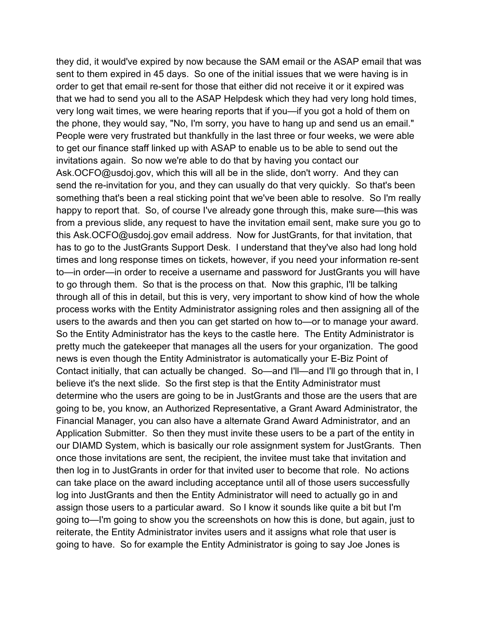the phone, they would say, "No, I'm sorry, you have to hang up and send us an email." invitations again. So now we're able to do that by having you contact our something that's been a real sticking point that we've been able to resolve. So I'm really to go through them. So that is the process on that. Now this graphic, I'll be talking users to the awards and then you can get started on how to-or to manage your award. users to the awards and then you can get started on how to—or to manage your award.<br>So the Entity Administrator has the keys to the castle here. The Entity Administrator is pretty much the gatekeeper that manages all the users for your organization. The good Contact initially, that can actually be changed. So—and I'll—and I'll go through that in, I believe it's the next slide. So the first step is that the Entity Administrator must determine who the users are going to be in JustGrants and those are the users that are our DIAMD System, which is basically our role assignment system for JustGrants. Then then log in to JustGrants in order for that invited user to become that role. No actions assign those users to a particular award. So I know it sounds like quite a bit but I'm they did, it would've expired by now because the SAM email or the ASAP email that was sent to them expired in 45 days. So one of the initial issues that we were having is in order to get that email re-sent for those that either did not receive it or it expired was that we had to send you all to the ASAP Helpdesk which they had very long hold times, very long wait times, we were hearing reports that if you—if you got a hold of them on People were very frustrated but thankfully in the last three or four weeks, we were able to get our finance staff linked up with ASAP to enable us to be able to send out the [Ask.OCFO@usdoj.gov,](mailto:Ask.OCFO@usdoj.gov) which this will all be in the slide, don't worry. And they can send the re-invitation for you, and they can usually do that very quickly. So that's been happy to report that. So, of course I've already gone through this, make sure—this was from a previous slide, any request to have the invitation email sent, make sure you go to this [Ask.OCFO@usdoj.gov](mailto:Ask.OCFO@usdoj.gov) email address. Now for JustGrants, for that invitation, that has to go to the JustGrants Support Desk. I understand that they've also had long hold times and long response times on tickets, however, if you need your information re-sent to—in order—in order to receive a username and password for JustGrants you will have through all of this in detail, but this is very, very important to show kind of how the whole process works with the Entity Administrator assigning roles and then assigning all of the news is even though the Entity Administrator is automatically your E-Biz Point of going to be, you know, an Authorized Representative, a Grant Award Administrator, the Financial Manager, you can also have a alternate Grand Award Administrator, and an Application Submitter. So then they must invite these users to be a part of the entity in once those invitations are sent, the recipient, the invitee must take that invitation and can take place on the award including acceptance until all of those users successfully log into JustGrants and then the Entity Administrator will need to actually go in and going to—I'm going to show you the screenshots on how this is done, but again, just to reiterate, the Entity Administrator invites users and it assigns what role that user is going to have. So for example the Entity Administrator is going to say Joe Jones is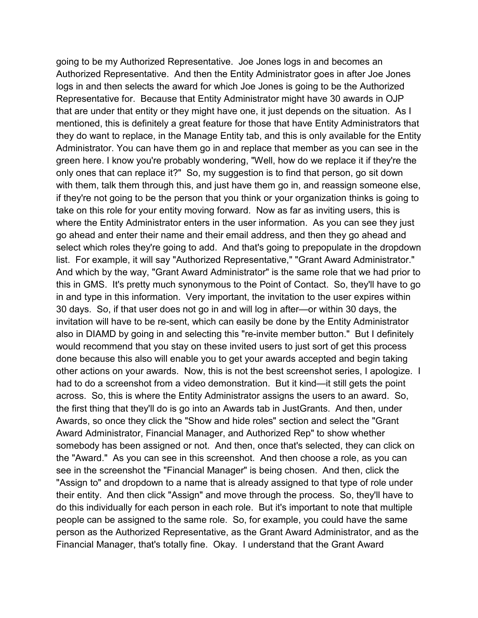Representative for. Because that Entity Administrator might have 30 awards in OJP that are under that entity or they might have one, it just depends on the situation. As I mentioned, this is definitely a great feature for those that have Entity Administrators that Administrator. You can have them go in and replace that member as you can see in the only ones that can replace it?" So, my suggestion is to find that person, go sit down with them, talk them through this, and just have them go in, and reassign someone else, take on this role for your entity moving forward. Now as far as inviting users, this is where the Entity Administrator enters in the user information. As you can see they just select which roles they're going to add. And that's going to prepopulate in the dropdown list. For example, it will say "Authorized Representative," "Grant Award Administrator." this in GMS. It's pretty much synonymous to the Point of Contact. So, they'll have to go in and type in this information. Very important, the invitation to the user expires within also in DIAMD by going in and selecting this "re-invite member button." But I definitely would recommend that you stay on these invited users to just sort of get this process had to do a screenshot from a video demonstration. But it kind—it still gets the point the first thing that they'll do is go into an Awards tab in JustGrants. And then, under Award Administrator, Financial Manager, and Authorized Rep" to show whether somebody has been assigned or not. And then, once that's selected, they can click on the "Award." As you can see in this screenshot. And then choose a role, as you can see in the screenshot the "Financial Manager" is being chosen. And then, click the "Assign to" and dropdown to a name that is already assigned to that type of role under their entity. And then click "Assign" and move through the process. So, they'll have to do this individually for each person in each role. But it's important to note that multiple going to be my Authorized Representative. Joe Jones logs in and becomes an Authorized Representative. And then the Entity Administrator goes in after Joe Jones logs in and then selects the award for which Joe Jones is going to be the Authorized they do want to replace, in the Manage Entity tab, and this is only available for the Entity green here. I know you're probably wondering, "Well, how do we replace it if they're the if they're not going to be the person that you think or your organization thinks is going to go ahead and enter their name and their email address, and then they go ahead and And which by the way, "Grant Award Administrator" is the same role that we had prior to 30 days. So, if that user does not go in and will log in after—or within 30 days, the invitation will have to be re-sent, which can easily be done by the Entity Administrator done because this also will enable you to get your awards accepted and begin taking other actions on your awards. Now, this is not the best screenshot series, I apologize. I across. So, this is where the Entity Administrator assigns the users to an award. So, Awards, so once they click the "Show and hide roles" section and select the "Grant people can be assigned to the same role. So, for example, you could have the same person as the Authorized Representative, as the Grant Award Administrator, and as the Financial Manager, that's totally fine. Okay. I understand that the Grant Award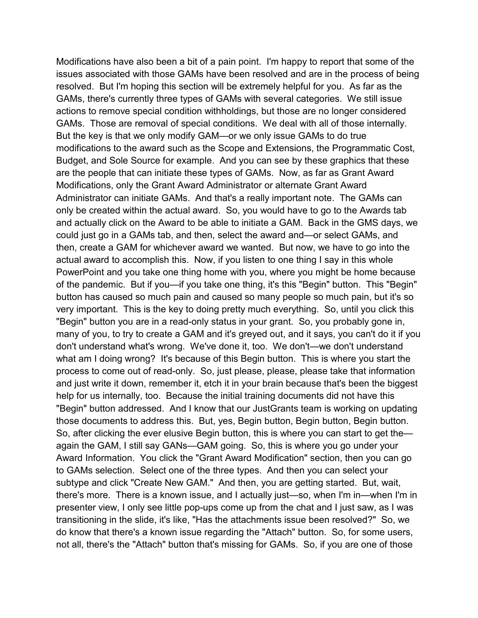Modifications have also been a bit of a pain point. I'm happy to report that some of the resolved. But I'm hoping this section will be extremely helpful for you. As far as the GAMs, there's currently three types of GAMs with several categories. We still issue GAMs. Those are removal of special conditions. We deal with all of those internally. are the people that can initiate these types of GAMs. Now, as far as Grant Award Administrator can initiate GAMs. And that's a really important note. The GAMs can very important. This is the key to doing pretty much everything. So, until you click this don't understand what's wrong. We've done it, too. We don't—we don't understand what am I doing wrong? It's because of this Begin button. This is where you start the and just write it down, remember it, etch it in your brain because that's been the biggest help for us internally, too. Because the initial training documents did not have this "Begin" button addressed. And I know that our JustGrants team is working on updating So, after clicking the ever elusive Begin button, this is where you can start to get the— to GAMs selection. Select one of the three types. And then you can select your subtype and click "Create New GAM." And then, you are getting started. But, wait, transitioning in the slide, it's like, "Has the attachments issue been resolved?" So, we do know that there's a known issue regarding the "Attach" button. So, for some users, not all, there's the "Attach" button that's missing for GAMs. So, if you are one of those issues associated with those GAMs have been resolved and are in the process of being actions to remove special condition withholdings, but those are no longer considered But the key is that we only modify GAM—or we only issue GAMs to do true modifications to the award such as the Scope and Extensions, the Programmatic Cost, Budget, and Sole Source for example. And you can see by these graphics that these Modifications, only the Grant Award Administrator or alternate Grant Award only be created within the actual award. So, you would have to go to the Awards tab and actually click on the Award to be able to initiate a GAM. Back in the GMS days, we could just go in a GAMs tab, and then, select the award and—or select GAMs, and then, create a GAM for whichever award we wanted. But now, we have to go into the actual award to accomplish this. Now, if you listen to one thing I say in this whole PowerPoint and you take one thing home with you, where you might be home because of the pandemic. But if you—if you take one thing, it's this "Begin" button. This "Begin" button has caused so much pain and caused so many people so much pain, but it's so "Begin" button you are in a read-only status in your grant. So, you probably gone in, many of you, to try to create a GAM and it's greyed out, and it says, you can't do it if you process to come out of read-only. So, just please, please, please take that information those documents to address this. But, yes, Begin button, Begin button, Begin button. again the GAM, I still say GANs—GAM going. So, this is where you go under your Award Information. You click the "Grant Award Modification" section, then you can go there's more. There is a known issue, and I actually just—so, when I'm in—when I'm in presenter view, I only see little pop-ups come up from the chat and I just saw, as I was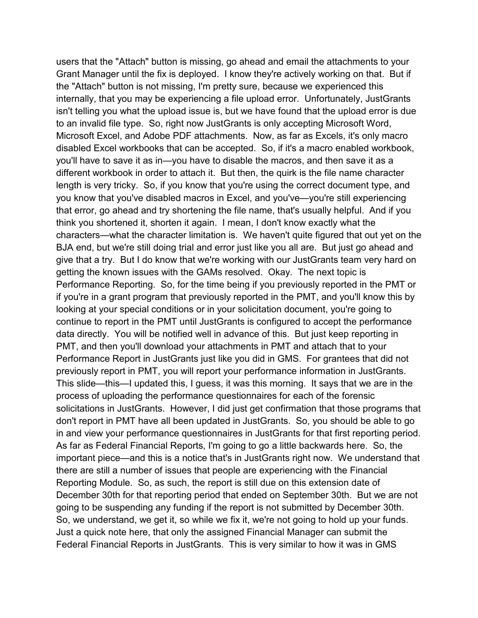Grant Manager until the fix is deployed. I know they're actively working on that. But if the "Attach" button is not missing, I'm pretty sure, because we experienced this isn't telling you what the upload issue is, but we have found that the upload error is due to an invalid file type. So, right now JustGrants is only accepting Microsoft Word, Microsoft Excel, and Adobe PDF attachments. Now, as far as Excels, it's only macro disabled Excel workbooks that can be accepted. So, if it's a macro enabled workbook, think you shortened it, shorten it again. I mean, I don't know exactly what the characters—what the character limitation is. We haven't quite figured that out yet on the give that a try. But I do know that we're working with our JustGrants team very hard on getting the known issues with the GAMs resolved. Okay. The next topic is if you're in a grant program that previously reported in the PMT, and you'll know this by continue to report in the PMT until JustGrants is configured to accept the performance Performance Report in JustGrants just like you did in GMS. For grantees that did not previously report in PMT, you will report your performance information in JustGrants. process of uploading the performance questionnaires for each of the forensic in and view your performance questionnaires in JustGrants for that first reporting period. important piece—and this is a notice that's in JustGrants right now. We understand that Reporting Module. So, as such, the report is still due on this extension date of December 30th for that reporting period that ended on September 30th. But we are not going to be suspending any funding if the report is not submitted by December 30th. Federal Financial Reports in JustGrants. This is very similar to how it was in GMS users that the "Attach" button is missing, go ahead and email the attachments to your internally, that you may be experiencing a file upload error. Unfortunately, JustGrants you'll have to save it as in—you have to disable the macros, and then save it as a different workbook in order to attach it. But then, the quirk is the file name character length is very tricky. So, if you know that you're using the correct document type, and you know that you've disabled macros in Excel, and you've—you're still experiencing that error, go ahead and try shortening the file name, that's usually helpful. And if you BJA end, but we're still doing trial and error just like you all are. But just go ahead and Performance Reporting. So, for the time being if you previously reported in the PMT or looking at your special conditions or in your solicitation document, you're going to data directly. You will be notified well in advance of this. But just keep reporting in PMT, and then you'll download your attachments in PMT and attach that to your This slide—this—I updated this, I guess, it was this morning. It says that we are in the solicitations in JustGrants. However, I did just get confirmation that those programs that don't report in PMT have all been updated in JustGrants. So, you should be able to go As far as Federal Financial Reports, I'm going to go a little backwards here. So, the there are still a number of issues that people are experiencing with the Financial So, we understand, we get it, so while we fix it, we're not going to hold up your funds. Just a quick note here, that only the assigned Financial Manager can submit the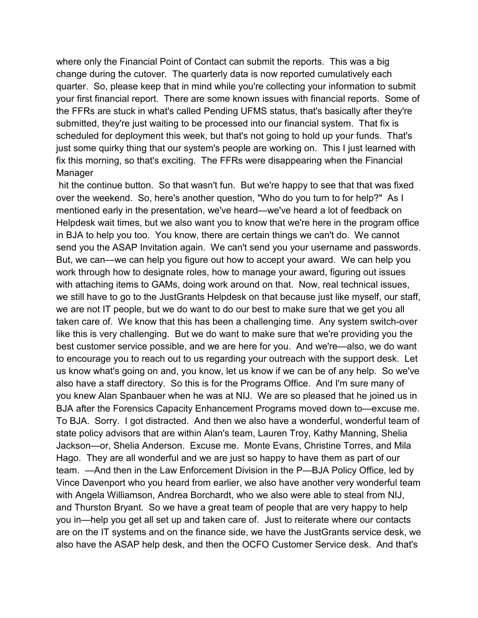where only the Financial Point of Contact can submit the reports. This was a big submitted, they're just waiting to be processed into our financial system. That fix is scheduled for deployment this week, but that's not going to hold up your funds. That's just some quirky thing that our system's people are working on. This I just learned with change during the cutover. The quarterly data is now reported cumulatively each quarter. So, please keep that in mind while you're collecting your information to submit your first financial report. There are some known issues with financial reports. Some of the FFRs are stuck in what's called Pending UFMS status, that's basically after they're fix this morning, so that's exciting. The FFRs were disappearing when the Financial Manager

 over the weekend. So, here's another question, "Who do you turn to for help?" As I Helpdesk wait times, but we also want you to know that we're here in the program office in BJA to help you too. You know, there are certain things we can't do. We cannot send you the ASAP Invitation again. We can't send you your username and passwords. But, we can—we can help you figure out how to accept your award. We can help you taken care of. We know that this has been a challenging time. Any system switch-over to encourage you to reach out to us regarding your outreach with the support desk. Let you knew Alan Spanbauer when he was at NIJ. We are so pleased that he joined us in BJA after the Forensics Capacity Enhancement Programs moved down to—excuse me. Jackson—or, Shelia Anderson. Excuse me. Monte Evans, Christine Torres, and Mila Hago. They are all wonderful and we are just so happy to have them as part of our Vince Davenport who you heard from earlier, we also have another very wonderful team with Angela Williamson, Andrea Borchardt, who we also were able to steal from NIJ, and Thurston Bryant. So we have a great team of people that are very happy to help are on the IT systems and on the finance side, we have the JustGrants service desk, we hit the continue button. So that wasn't fun. But we're happy to see that that was fixed mentioned early in the presentation, we've heard—we've heard a lot of feedback on work through how to designate roles, how to manage your award, figuring out issues with attaching items to GAMs, doing work around on that. Now, real technical issues, we still have to go to the JustGrants Helpdesk on that because just like myself, our staff, we are not IT people, but we do want to do our best to make sure that we get you all like this is very challenging. But we do want to make sure that we're providing you the best customer service possible, and we are here for you. And we're—also, we do want us know what's going on and, you know, let us know if we can be of any help. So we've also have a staff directory. So this is for the Programs Office. And I'm sure many of To BJA. Sorry. I got distracted. And then we also have a wonderful, wonderful team of state policy advisors that are within Alan's team, Lauren Troy, Kathy Manning, Shelia team. —And then in the Law Enforcement Division in the P—BJA Policy Office, led by you in—help you get all set up and taken care of. Just to reiterate where our contacts also have the ASAP help desk, and then the OCFO Customer Service desk. And that's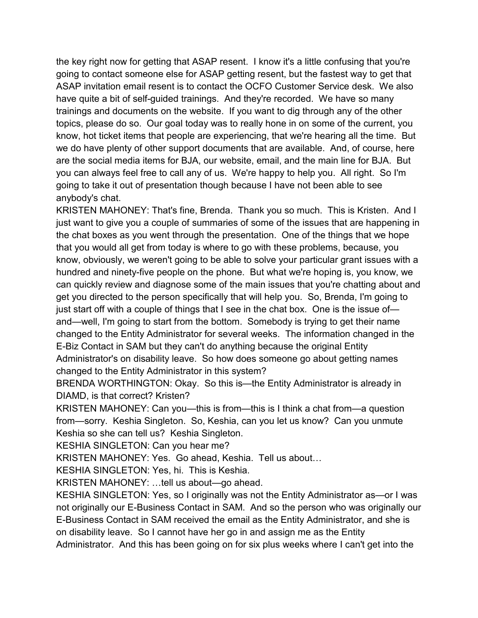going to contact someone else for ASAP getting resent, but the fastest way to get that ASAP invitation email resent is to contact the OCFO Customer Service desk. We also have quite a bit of self-guided trainings. And they're recorded. We have so many trainings and documents on the website. If you want to dig through any of the other topics, please do so. Our goal today was to really hone in on some of the current, you we do have plenty of other support documents that are available. And, of course, here you can always feel free to call any of us. We're happy to help you. All right. So I'm the key right now for getting that ASAP resent. I know it's a little confusing that you're know, hot ticket items that people are experiencing, that we're hearing all the time. But are the social media items for BJA, our website, email, and the main line for BJA. But going to take it out of presentation though because I have not been able to see anybody's chat.

 KRISTEN MAHONEY: That's fine, Brenda. Thank you so much. This is Kristen. And I the chat boxes as you went through the presentation. One of the things that we hope just want to give you a couple of summaries of some of the issues that are happening in that you would all get from today is where to go with these problems, because, you know, obviously, we weren't going to be able to solve your particular grant issues with a hundred and ninety-five people on the phone. But what we're hoping is, you know, we can quickly review and diagnose some of the main issues that you're chatting about and get you directed to the person specifically that will help you. So, Brenda, I'm going to just start off with a couple of things that I see in the chat box. One is the issue of and—well, I'm going to start from the bottom. Somebody is trying to get their name changed to the Entity Administrator for several weeks. The information changed in the E-Biz Contact in SAM but they can't do anything because the original Entity Administrator's on disability leave. So how does someone go about getting names changed to the Entity Administrator in this system?

 BRENDA WORTHINGTON: Okay. So this is—the Entity Administrator is already in DIAMD, is that correct? Kristen?

 from—sorry. Keshia Singleton. So, Keshia, can you let us know? Can you unmute KRISTEN MAHONEY: Can you—this is from—this is I think a chat from—a question Keshia so she can tell us? Keshia Singleton.

KESHIA SINGLETON: Can you hear me?

KRISTEN MAHONEY: Yes. Go ahead, Keshia. Tell us about…

KESHIA SINGLETON: Yes, hi. This is Keshia.

KRISTEN MAHONEY: …tell us about—go ahead.

 not originally our E-Business Contact in SAM. And so the person who was originally our Administrator. And this has been going on for six plus weeks where I can't get into the KESHIA SINGLETON: Yes, so I originally was not the Entity Administrator as—or I was E-Business Contact in SAM received the email as the Entity Administrator, and she is on disability leave. So I cannot have her go in and assign me as the Entity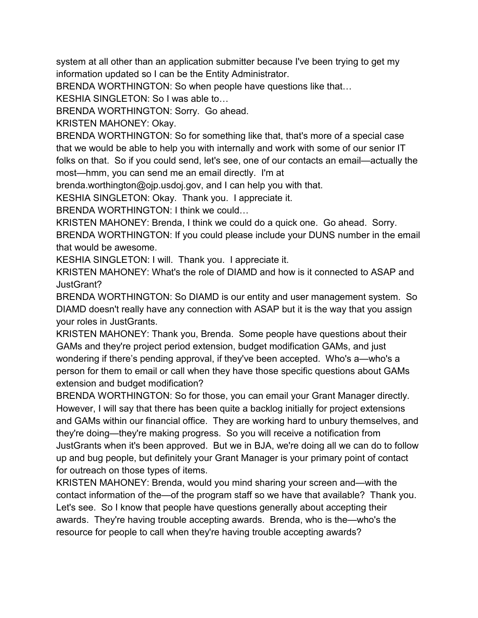system at all other than an application submitter because I've been trying to get my information updated so I can be the Entity Administrator.

BRENDA WORTHINGTON: So when people have questions like that…

KESHIA SINGLETON: So I was able to…

BRENDA WORTHINGTON: Sorry. Go ahead.

KRISTEN MAHONEY: Okay.

 BRENDA WORTHINGTON: So for something like that, that's more of a special case that we would be able to help you with internally and work with some of our senior IT folks on that. So if you could send, let's see, one of our contacts an email—actually the most—hmm, you can send me an email directly. I'm at

[brenda.worthington@ojp.usdoj.gov,](mailto:brenda.worthington@ojp.usdoj.gov) and I can help you with that.

KESHIA SINGLETON: Okay. Thank you. I appreciate it.

BRENDA WORTHINGTON: I think we could…

 KRISTEN MAHONEY: Brenda, I think we could do a quick one. Go ahead. Sorry. BRENDA WORTHINGTON: If you could please include your DUNS number in the email that would be awesome.

KESHIA SINGLETON: I will. Thank you. I appreciate it.

KRISTEN MAHONEY: What's the role of DIAMD and how is it connected to ASAP and JustGrant?

BRENDA WORTHINGTON: So DIAMD is our entity and user management system. So DIAMD doesn't really have any connection with ASAP but it is the way that you assign your roles in JustGrants.

 KRISTEN MAHONEY: Thank you, Brenda. Some people have questions about their GAMs and they're project period extension, budget modification GAMs, and just wondering if there's pending approval, if they've been accepted. Who's a—who's a person for them to email or call when they have those specific questions about GAMs extension and budget modification?

 BRENDA WORTHINGTON: So for those, you can email your Grant Manager directly. and GAMs within our financial office. They are working hard to unbury themselves, and they're doing—they're making progress. So you will receive a notification from up and bug people, but definitely your Grant Manager is your primary point of contact However, I will say that there has been quite a backlog initially for project extensions JustGrants when it's been approved. But we in BJA, we're doing all we can do to follow for outreach on those types of items.

 contact information of the—of the program staff so we have that available? Thank you. Let's see. So I know that people have questions generally about accepting their resource for people to call when they're having trouble accepting awards? KRISTEN MAHONEY: Brenda, would you mind sharing your screen and—with the awards. They're having trouble accepting awards. Brenda, who is the—who's the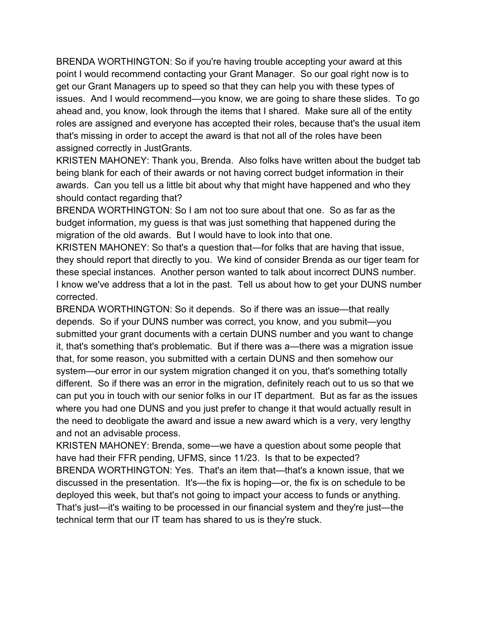BRENDA WORTHINGTON: So if you're having trouble accepting your award at this issues. And I would recommend—you know, we are going to share these slides. To go ahead and, you know, look through the items that I shared. Make sure all of the entity that's missing in order to accept the award is that not all of the roles have been point I would recommend contacting your Grant Manager. So our goal right now is to get our Grant Managers up to speed so that they can help you with these types of roles are assigned and everyone has accepted their roles, because that's the usual item assigned correctly in JustGrants.

 KRISTEN MAHONEY: Thank you, Brenda. Also folks have written about the budget tab being blank for each of their awards or not having correct budget information in their awards. Can you tell us a little bit about why that might have happened and who they should contact regarding that?

 BRENDA WORTHINGTON: So I am not too sure about that one. So as far as the budget information, my guess is that was just something that happened during the migration of the old awards. But I would have to look into that one.

 they should report that directly to you. We kind of consider Brenda as our tiger team for these special instances. Another person wanted to talk about incorrect DUNS number. KRISTEN MAHONEY: So that's a question that—for folks that are having that issue, I know we've address that a lot in the past. Tell us about how to get your DUNS number. corrected.

 BRENDA WORTHINGTON: So it depends. So if there was an issue—that really system—our error in our system migration changed it on you, that's something totally different. So if there was an error in the migration, definitely reach out to us so that we can put you in touch with our senior folks in our IT department. But as far as the issues where you had one DUNS and you just prefer to change it that would actually result in and not an advisable process. depends. So if your DUNS number was correct, you know, and you submit—you submitted your grant documents with a certain DUNS number and you want to change it, that's something that's problematic. But if there was a—there was a migration issue that, for some reason, you submitted with a certain DUNS and then somehow our the need to deobligate the award and issue a new award which is a very, very lengthy

 have had their FFR pending, UFMS, since 11/23. Is that to be expected? discussed in the presentation. It's—the fix is hoping—or, the fix is on schedule to be deployed this week, but that's not going to impact your access to funds or anything. technical term that our IT team has shared to us is they're stuck. KRISTEN MAHONEY: Brenda, some—we have a question about some people that BRENDA WORTHINGTON: Yes. That's an item that—that's a known issue, that we That's just—it's waiting to be processed in our financial system and they're just—the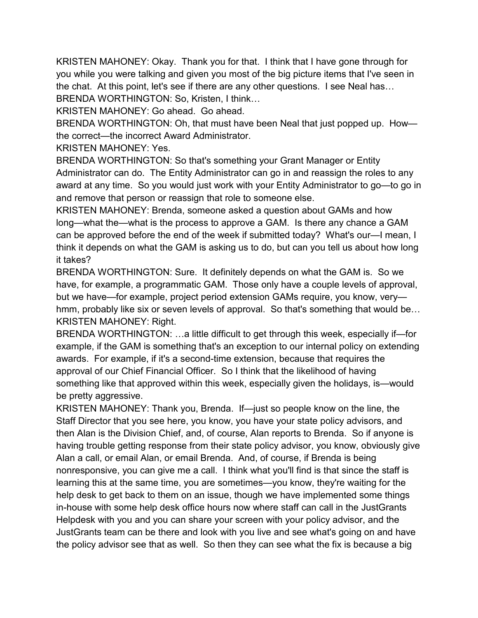KRISTEN MAHONEY: Okay. Thank you for that. I think that I have gone through for BRENDA WORTHINGTON: So, Kristen, I think… you while you were talking and given you most of the big picture items that I've seen in the chat. At this point, let's see if there are any other questions. I see Neal has…

KRISTEN MAHONEY: Go ahead. Go ahead.

BRENDA WORTHINGTON: Oh, that must have been Neal that just popped up. How the correct—the incorrect Award Administrator.

KRISTEN MAHONEY: Yes.

 BRENDA WORTHINGTON: So that's something your Grant Manager or Entity Administrator can do. The Entity Administrator can go in and reassign the roles to any award at any time. So you would just work with your Entity Administrator to go—to go in and remove that person or reassign that role to someone else.

KRISTEN MAHONEY: Brenda, someone asked a question about GAMs and how long—what the—what is the process to approve a GAM. Is there any chance a GAM can be approved before the end of the week if submitted today? What's our—I mean, I think it depends on what the GAM is asking us to do, but can you tell us about how long it takes?

 BRENDA WORTHINGTON: Sure. It definitely depends on what the GAM is. So we have, for example, a programmatic GAM. Those only have a couple levels of approval, but we have—for example, project period extension GAMs require, you know, very hmm, probably like six or seven levels of approval. So that's something that would be… KRISTEN MAHONEY: Right.

 approval of our Chief Financial Officer. So I think that the likelihood of having BRENDA WORTHINGTON: …a little difficult to get through this week, especially if—for example, if the GAM is something that's an exception to our internal policy on extending awards. For example, if it's a second-time extension, because that requires the something like that approved within this week, especially given the holidays, is—would be pretty aggressive.

 KRISTEN MAHONEY: Thank you, Brenda. If—just so people know on the line, the Alan a call, or email Alan, or email Brenda. And, of course, if Brenda is being help desk to get back to them on an issue, though we have implemented some things Staff Director that you see here, you know, you have your state policy advisors, and then Alan is the Division Chief, and, of course, Alan reports to Brenda. So if anyone is having trouble getting response from their state policy advisor, you know, obviously give nonresponsive, you can give me a call. I think what you'll find is that since the staff is learning this at the same time, you are sometimes—you know, they're waiting for the in-house with some help desk office hours now where staff can call in the JustGrants Helpdesk with you and you can share your screen with your policy advisor, and the JustGrants team can be there and look with you live and see what's going on and have the policy advisor see that as well. So then they can see what the fix is because a big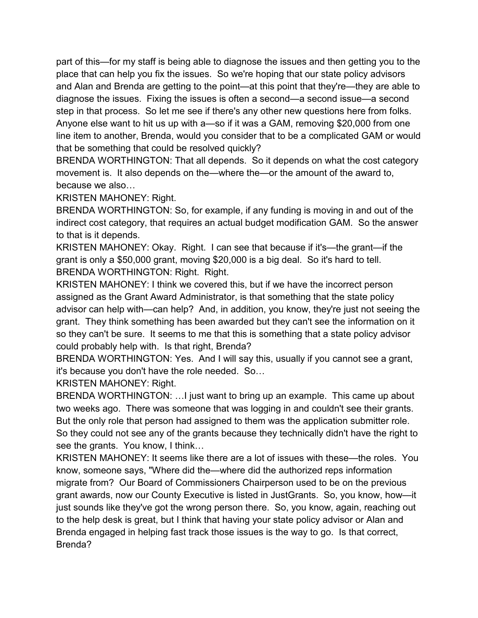diagnose the issues. Fixing the issues is often a second—a second issue—a second step in that process. So let me see if there's any other new questions here from folks. part of this—for my staff is being able to diagnose the issues and then getting you to the place that can help you fix the issues. So we're hoping that our state policy advisors and Alan and Brenda are getting to the point—at this point that they're—they are able to Anyone else want to hit us up with a—so if it was a GAM, removing \$20,000 from one line item to another, Brenda, would you consider that to be a complicated GAM or would that be something that could be resolved quickly?

 BRENDA WORTHINGTON: That all depends. So it depends on what the cost category movement is. It also depends on the—where the—or the amount of the award to, because we also…

KRISTEN MAHONEY: Right.

 BRENDA WORTHINGTON: So, for example, if any funding is moving in and out of the indirect cost category, that requires an actual budget modification GAM. So the answer to that is it depends.

KRISTEN MAHONEY: Okay. Right. I can see that because if it's—the grant—if the grant is only a \$50,000 grant, moving \$20,000 is a big deal. So it's hard to tell. BRENDA WORTHINGTON: Right. Right.

 assigned as the Grant Award Administrator, is that something that the state policy grant. They think something has been awarded but they can't see the information on it so they can't be sure. It seems to me that this is something that a state policy advisor KRISTEN MAHONEY: I think we covered this, but if we have the incorrect person advisor can help with—can help? And, in addition, you know, they're just not seeing the could probably help with. Is that right, Brenda?

 it's because you don't have the role needed. So… BRENDA WORTHINGTON: Yes. And I will say this, usually if you cannot see a grant,

KRISTEN MAHONEY: Right.

 BRENDA WORTHINGTON: …I just want to bring up an example. This came up about two weeks ago. There was someone that was logging in and couldn't see their grants. But the only role that person had assigned to them was the application submitter role. So they could not see any of the grants because they technically didn't have the right to see the grants. You know, I think…

 migrate from? Our Board of Commissioners Chairperson used to be on the previous grant awards, now our County Executive is listed in JustGrants. So, you know, how—it Brenda engaged in helping fast track those issues is the way to go. Is that correct, KRISTEN MAHONEY: It seems like there are a lot of issues with these—the roles. You know, someone says, "Where did the—where did the authorized reps information just sounds like they've got the wrong person there. So, you know, again, reaching out to the help desk is great, but I think that having your state policy advisor or Alan and Brenda?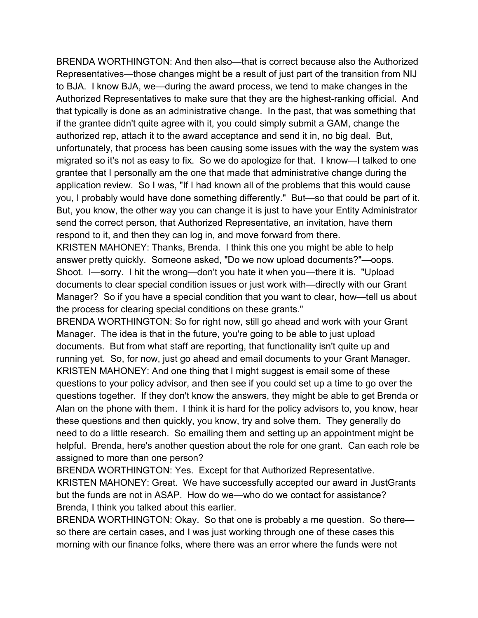BRENDA WORTHINGTON: And then also—that is correct because also the Authorized Representatives—those changes might be a result of just part of the transition from NIJ authorized rep, attach it to the award acceptance and send it in, no big deal. But, migrated so it's not as easy to fix. So we do apologize for that. I know—I talked to one application review. So I was, "If I had known all of the problems that this would cause you, I probably would have done something differently." But—so that could be part of it. to BJA. I know BJA, we—during the award process, we tend to make changes in the Authorized Representatives to make sure that they are the highest-ranking official. And that typically is done as an administrative change. In the past, that was something that if the grantee didn't quite agree with it, you could simply submit a GAM, change the unfortunately, that process has been causing some issues with the way the system was grantee that I personally am the one that made that administrative change during the But, you know, the other way you can change it is just to have your Entity Administrator send the correct person, that Authorized Representative, an invitation, have them respond to it, and then they can log in, and move forward from there.

 KRISTEN MAHONEY: Thanks, Brenda. I think this one you might be able to help answer pretty quickly. Someone asked, "Do we now upload documents?"—oops. documents to clear special condition issues or just work with—directly with our Grant Shoot. I—sorry. I hit the wrong—don't you hate it when you—there it is. "Upload Manager? So if you have a special condition that you want to clear, how—tell us about the process for clearing special conditions on these grants."

 Manager. The idea is that in the future, you're going to be able to just upload KRISTEN MAHONEY: And one thing that I might suggest is email some of these questions together. If they don't know the answers, they might be able to get Brenda or Alan on the phone with them. I think it is hard for the policy advisors to, you know, hear these questions and then quickly, you know, try and solve them. They generally do need to do a little research. So emailing them and setting up an appointment might be BRENDA WORTHINGTON: So for right now, still go ahead and work with your Grant documents. But from what staff are reporting, that functionality isn't quite up and running yet. So, for now, just go ahead and email documents to your Grant Manager. questions to your policy advisor, and then see if you could set up a time to go over the helpful. Brenda, here's another question about the role for one grant. Can each role be assigned to more than one person?

 KRISTEN MAHONEY: Great. We have successfully accepted our award in JustGrants but the funds are not in ASAP. How do we—who do we contact for assistance? BRENDA WORTHINGTON: Yes. Except for that Authorized Representative. Brenda, I think you talked about this earlier.

BRENDA WORTHINGTON: Okay. So that one is probably a me question. So there so there are certain cases, and I was just working through one of these cases this morning with our finance folks, where there was an error where the funds were not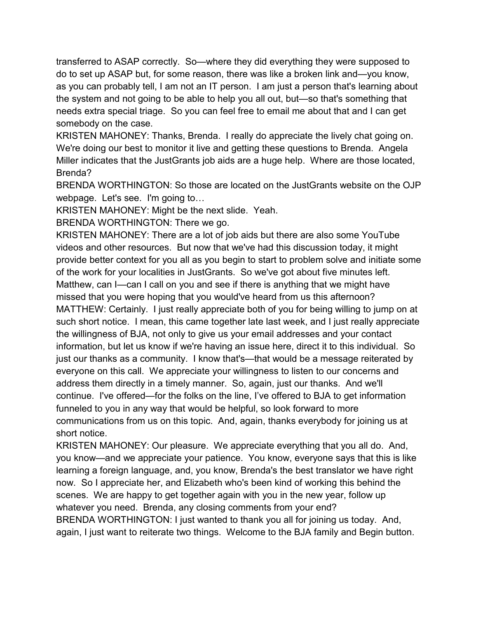as you can probably tell, I am not an IT person. I am just a person that's learning about needs extra special triage. So you can feel free to email me about that and I can get transferred to ASAP correctly. So—where they did everything they were supposed to do to set up ASAP but, for some reason, there was like a broken link and—you know, the system and not going to be able to help you all out, but—so that's something that somebody on the case.

 KRISTEN MAHONEY: Thanks, Brenda. I really do appreciate the lively chat going on. Miller indicates that the JustGrants job aids are a huge help. Where are those located, We're doing our best to monitor it live and getting these questions to Brenda. Angela Brenda?

 webpage. Let's see. I'm going to… BRENDA WORTHINGTON: So those are located on the JustGrants website on the OJP

KRISTEN MAHONEY: Might be the next slide. Yeah.

BRENDA WORTHINGTON: There we go.

 videos and other resources. But now that we've had this discussion today, it might of the work for your localities in JustGrants. So we've got about five minutes left. such short notice. I mean, this came together late last week, and I just really appreciate information, but let us know if we're having an issue here, direct it to this individual. So everyone on this call. We appreciate your willingness to listen to our concerns and address them directly in a timely manner. So, again, just our thanks. And we'll continue. I've offered—for the folks on the line, I've offered to BJA to get information communications from us on this topic. And, again, thanks everybody for joining us at KRISTEN MAHONEY: There are a lot of job aids but there are also some YouTube provide better context for you all as you begin to start to problem solve and initiate some Matthew, can I—can I call on you and see if there is anything that we might have missed that you were hoping that you would've heard from us this afternoon? MATTHEW: Certainly. I just really appreciate both of you for being willing to jump on at the willingness of BJA, not only to give us your email addresses and your contact just our thanks as a community. I know that's—that would be a message reiterated by funneled to you in any way that would be helpful, so look forward to more short notice.

 KRISTEN MAHONEY: Our pleasure. We appreciate everything that you all do. And, scenes. We are happy to get together again with you in the new year, follow up whatever you need. Brenda, any closing comments from your end? BRENDA WORTHINGTON: I just wanted to thank you all for joining us today. And, again, I just want to reiterate two things. Welcome to the BJA family and Begin button. you know—and we appreciate your patience. You know, everyone says that this is like learning a foreign language, and, you know, Brenda's the best translator we have right now. So I appreciate her, and Elizabeth who's been kind of working this behind the